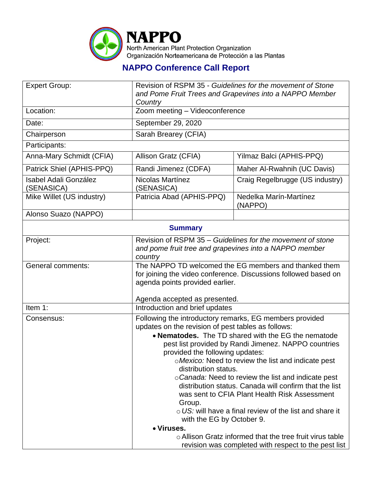

## **NAPPO Conference Call Report**

| <b>Expert Group:</b>                       | Revision of RSPM 35 - Guidelines for the movement of Stone<br>and Pome Fruit Trees and Grapevines into a NAPPO Member                                                                                                                                                                                                                            |                                   |  |  |
|--------------------------------------------|--------------------------------------------------------------------------------------------------------------------------------------------------------------------------------------------------------------------------------------------------------------------------------------------------------------------------------------------------|-----------------------------------|--|--|
| Location:                                  | Country<br>Zoom meeting - Videoconference                                                                                                                                                                                                                                                                                                        |                                   |  |  |
| Date:                                      | September 29, 2020                                                                                                                                                                                                                                                                                                                               |                                   |  |  |
| Chairperson                                | Sarah Brearey (CFIA)                                                                                                                                                                                                                                                                                                                             |                                   |  |  |
| Participants:                              |                                                                                                                                                                                                                                                                                                                                                  |                                   |  |  |
| Anna-Mary Schmidt (CFIA)                   | Allison Gratz (CFIA)                                                                                                                                                                                                                                                                                                                             | Yilmaz Balci (APHIS-PPQ)          |  |  |
| Patrick Shiel (APHIS-PPQ)                  | Randi Jimenez (CDFA)                                                                                                                                                                                                                                                                                                                             | Maher Al-Rwahnih (UC Davis)       |  |  |
| <b>Isabel Adali González</b><br>(SENASICA) | Nicolas Martínez<br>(SENASICA)                                                                                                                                                                                                                                                                                                                   | Craig Regelbrugge (US industry)   |  |  |
| Mike Willet (US industry)                  | Patricia Abad (APHIS-PPQ)                                                                                                                                                                                                                                                                                                                        | Nedelka Marín-Martínez<br>(NAPPO) |  |  |
| Alonso Suazo (NAPPO)                       |                                                                                                                                                                                                                                                                                                                                                  |                                   |  |  |
| <b>Summary</b>                             |                                                                                                                                                                                                                                                                                                                                                  |                                   |  |  |
| Project:                                   | Revision of RSPM 35 - Guidelines for the movement of stone<br>and pome fruit tree and grapevines into a NAPPO member<br>country                                                                                                                                                                                                                  |                                   |  |  |
| <b>General comments:</b>                   | The NAPPO TD welcomed the EG members and thanked them<br>for joining the video conference. Discussions followed based on<br>agenda points provided earlier.                                                                                                                                                                                      |                                   |  |  |
|                                            | Agenda accepted as presented.                                                                                                                                                                                                                                                                                                                    |                                   |  |  |
| Item 1:                                    |                                                                                                                                                                                                                                                                                                                                                  | Introduction and brief updates    |  |  |
| Consensus:                                 | Following the introductory remarks, EG members provided<br>updates on the revision of pest tables as follows:<br>• Nematodes. The TD shared with the EG the nematode<br>pest list provided by Randi Jimenez. NAPPO countries<br>provided the following updates:<br>o Mexico: Need to review the list and indicate pest<br>distribution status.   |                                   |  |  |
|                                            | o Canada: Need to review the list and indicate pest<br>distribution status. Canada will confirm that the list<br>was sent to CFIA Plant Health Risk Assessment<br>Group.<br>$\circ$ US; will have a final review of the list and share it<br>with the EG by October 9.<br>• Viruses.<br>○ Allison Gratz informed that the tree fruit virus table |                                   |  |  |
|                                            | revision was completed with respect to the pest list                                                                                                                                                                                                                                                                                             |                                   |  |  |